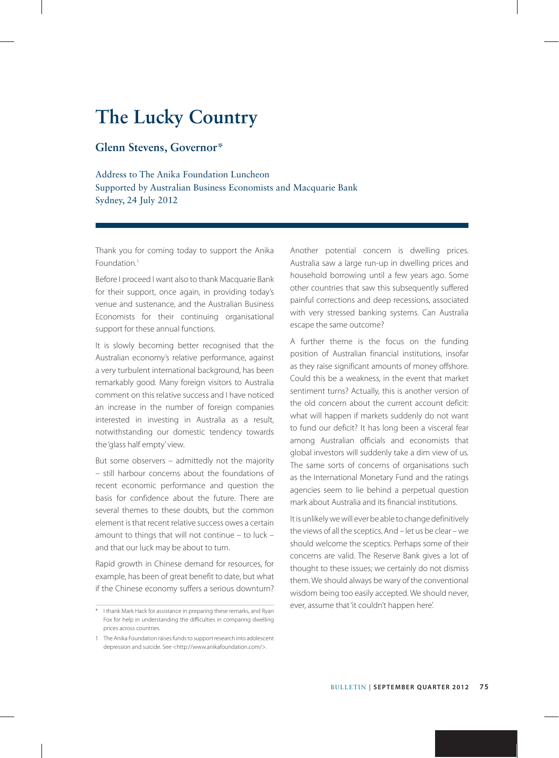## **The Lucky Country**

### **Glenn Stevens, Governor\***

Address to The Anika Foundation Luncheon Supported by Australian Business Economists and Macquarie Bank Sydney, 24 July 2012

Thank you for coming today to support the Anika Foundation.<sup>1</sup>

Before I proceed I want also to thank Macquarie Bank for their support, once again, in providing today's venue and sustenance, and the Australian Business Economists for their continuing organisational support for these annual functions.

It is slowly becoming better recognised that the Australian economy's relative performance, against a very turbulent international background, has been remarkably good. Many foreign visitors to Australia comment on this relative success and I have noticed an increase in the number of foreign companies interested in investing in Australia as a result, notwithstanding our domestic tendency towards the 'glass half empty' view.

But some observers – admittedly not the majority – still harbour concerns about the foundations of recent economic performance and question the basis for confidence about the future. There are several themes to these doubts, but the common element is that recent relative success owes a certain amount to things that will not continue – to luck – and that our luck may be about to turn.

Rapid growth in Chinese demand for resources, for example, has been of great benefit to date, but what if the Chinese economy suffers a serious downturn? Another potential concern is dwelling prices. Australia saw a large run-up in dwelling prices and household borrowing until a few years ago. Some other countries that saw this subsequently suffered painful corrections and deep recessions, associated with very stressed banking systems. Can Australia escape the same outcome?

A further theme is the focus on the funding position of Australian financial institutions, insofar as they raise significant amounts of money offshore. Could this be a weakness, in the event that market sentiment turns? Actually, this is another version of the old concern about the current account deficit: what will happen if markets suddenly do not want to fund our deficit? It has long been a visceral fear among Australian officials and economists that global investors will suddenly take a dim view of us. The same sorts of concerns of organisations such as the International Monetary Fund and the ratings agencies seem to lie behind a perpetual question mark about Australia and its financial institutions.

It is unlikely we will ever be able to change definitively the views of all the sceptics. And – let us be clear – we should welcome the sceptics. Perhaps some of their concerns are valid. The Reserve Bank gives a lot of thought to these issues; we certainly do not dismiss them. We should always be wary of the conventional wisdom being too easily accepted. We should never, ever, assume that 'it couldn't happen here'.

<sup>\*</sup> I thank Mark Hack for assistance in preparing these remarks, and Ryan Fox for help in understanding the difficulties in comparing dwelling prices across countries.

<sup>1</sup> The Anika Foundation raises funds to support research into adolescent depression and suicide. See <http://www.anikafoundation.com/>.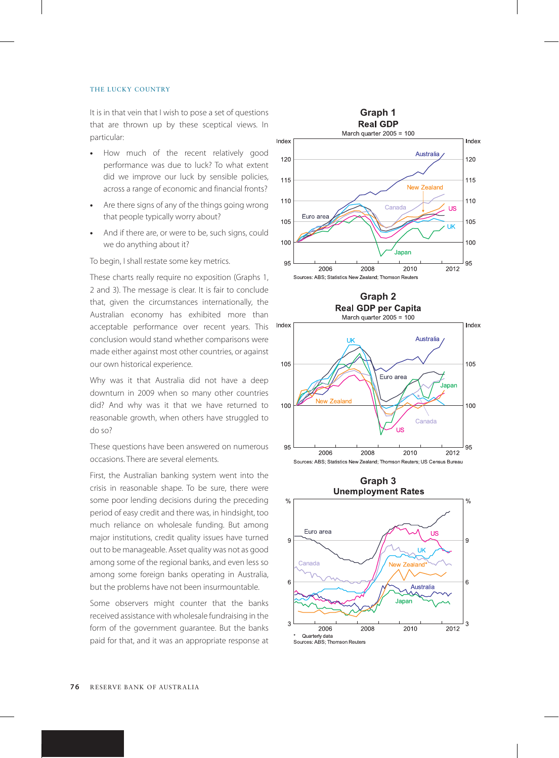It is in that vein that I wish to pose a set of questions that are thrown up by these sceptical views. In particular:

- **•** How much of the recent relatively good performance was due to luck? To what extent did we improve our luck by sensible policies, across a range of economic and financial fronts?
- **•** Are there signs of any of the things going wrong that people typically worry about?
- **•** And if there are, or were to be, such signs, could we do anything about it?

To begin, I shall restate some key metrics.

These charts really require no exposition (Graphs 1, 2 and 3). The message is clear. It is fair to conclude that, given the circumstances internationally, the Australian economy has exhibited more than acceptable performance over recent years. This conclusion would stand whether comparisons were made either against most other countries, or against our own historical experience.

Why was it that Australia did not have a deep downturn in 2009 when so many other countries did? And why was it that we have returned to reasonable growth, when others have struggled to do so?

These questions have been answered on numerous occasions. There are several elements.

First, the Australian banking system went into the crisis in reasonable shape. To be sure, there were some poor lending decisions during the preceding period of easy credit and there was, in hindsight, too much reliance on wholesale funding. But among major institutions, credit quality issues have turned out to be manageable. Asset quality was not as good among some of the regional banks, and even less so among some foreign banks operating in Australia, but the problems have not been insurmountable.

Some observers might counter that the banks received assistance with wholesale fundraising in the form of the government guarantee. But the banks paid for that, and it was an appropriate response at





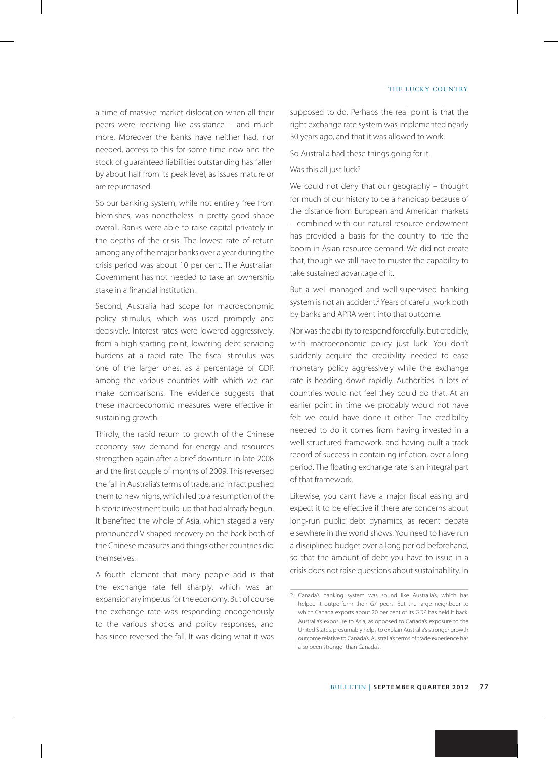a time of massive market dislocation when all their peers were receiving like assistance – and much more. Moreover the banks have neither had, nor needed, access to this for some time now and the stock of guaranteed liabilities outstanding has fallen by about half from its peak level, as issues mature or are repurchased.

So our banking system, while not entirely free from blemishes, was nonetheless in pretty good shape overall. Banks were able to raise capital privately in the depths of the crisis. The lowest rate of return among any of the major banks over a year during the crisis period was about 10 per cent. The Australian Government has not needed to take an ownership stake in a financial institution.

Second, Australia had scope for macroeconomic policy stimulus, which was used promptly and decisively. Interest rates were lowered aggressively, from a high starting point, lowering debt-servicing burdens at a rapid rate. The fiscal stimulus was one of the larger ones, as a percentage of GDP, among the various countries with which we can make comparisons. The evidence suggests that these macroeconomic measures were effective in sustaining growth.

Thirdly, the rapid return to growth of the Chinese economy saw demand for energy and resources strengthen again after a brief downturn in late 2008 and the first couple of months of 2009. This reversed the fall in Australia's terms of trade, and in fact pushed them to new highs, which led to a resumption of the historic investment build-up that had already begun. It benefited the whole of Asia, which staged a very pronounced V-shaped recovery on the back both of the Chinese measures and things other countries did themselves.

A fourth element that many people add is that the exchange rate fell sharply, which was an expansionary impetus for the economy. But of course the exchange rate was responding endogenously to the various shocks and policy responses, and has since reversed the fall. It was doing what it was supposed to do. Perhaps the real point is that the right exchange rate system was implemented nearly 30 years ago, and that it was allowed to work.

So Australia had these things going for it.

#### Was this all just luck?

We could not deny that our geography – thought for much of our history to be a handicap because of the distance from European and American markets – combined with our natural resource endowment has provided a basis for the country to ride the boom in Asian resource demand. We did not create that, though we still have to muster the capability to take sustained advantage of it.

But a well-managed and well-supervised banking system is not an accident.<sup>2</sup> Years of careful work both by banks and APRA went into that outcome.

Nor was the ability to respond forcefully, but credibly, with macroeconomic policy just luck. You don't suddenly acquire the credibility needed to ease monetary policy aggressively while the exchange rate is heading down rapidly. Authorities in lots of countries would not feel they could do that. At an earlier point in time we probably would not have felt we could have done it either. The credibility needed to do it comes from having invested in a well-structured framework, and having built a track record of success in containing inflation, over a long period. The floating exchange rate is an integral part of that framework.

Likewise, you can't have a major fiscal easing and expect it to be effective if there are concerns about long-run public debt dynamics, as recent debate elsewhere in the world shows. You need to have run a disciplined budget over a long period beforehand, so that the amount of debt you have to issue in a crisis does not raise questions about sustainability. In

<sup>2</sup> Canada's banking system was sound like Australia's, which has helped it outperform their G7 peers. But the large neighbour to which Canada exports about 20 per cent of its GDP has held it back. Australia's exposure to Asia, as opposed to Canada's exposure to the United States, presumably helps to explain Australia's stronger growth outcome relative to Canada's. Australia's terms of trade experience has also been stronger than Canada's.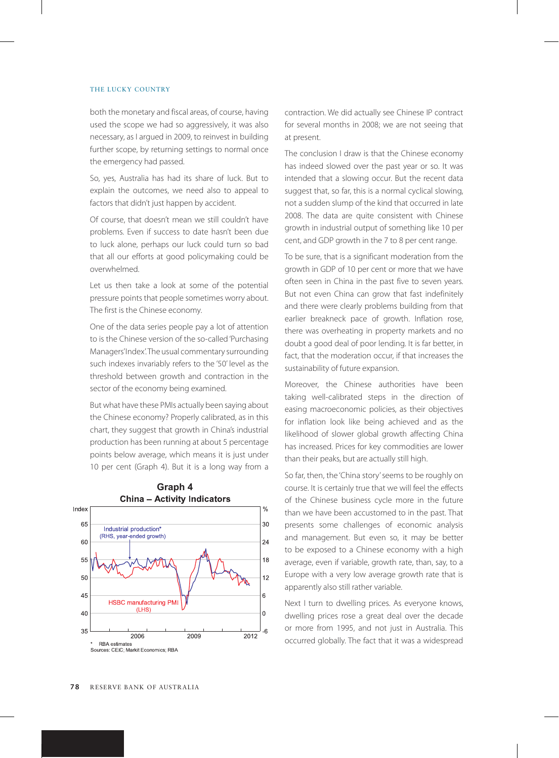both the monetary and fiscal areas, of course, having used the scope we had so aggressively, it was also necessary, as I argued in 2009, to reinvest in building further scope, by returning settings to normal once the emergency had passed.

So, yes, Australia has had its share of luck. But to explain the outcomes, we need also to appeal to factors that didn't just happen by accident.

Of course, that doesn't mean we still couldn't have problems. Even if success to date hasn't been due to luck alone, perhaps our luck could turn so bad that all our efforts at good policymaking could be overwhelmed.

Let us then take a look at some of the potential pressure points that people sometimes worry about. The first is the Chinese economy.

One of the data series people pay a lot of attention to is the Chinese version of the so-called 'Purchasing Managers' Index'. The usual commentary surrounding such indexes invariably refers to the '50' level as the threshold between growth and contraction in the sector of the economy being examined.

But what have these PMIs actually been saying about the Chinese economy? Properly calibrated, as in this chart, they suggest that growth in China's industrial production has been running at about 5 percentage points below average, which means it is just under 10 per cent (Graph 4). But it is a long way from a



# **Graph 4**

contraction. We did actually see Chinese IP contract for several months in 2008; we are not seeing that at present.

The conclusion I draw is that the Chinese economy has indeed slowed over the past year or so. It was intended that a slowing occur. But the recent data suggest that, so far, this is a normal cyclical slowing, not a sudden slump of the kind that occurred in late 2008. The data are quite consistent with Chinese growth in industrial output of something like 10 per cent, and GDP growth in the 7 to 8 per cent range.

To be sure, that is a significant moderation from the growth in GDP of 10 per cent or more that we have often seen in China in the past five to seven years. But not even China can grow that fast indefinitely and there were clearly problems building from that earlier breakneck pace of growth. Inflation rose, there was overheating in property markets and no doubt a good deal of poor lending. It is far better, in fact, that the moderation occur, if that increases the sustainability of future expansion.

Moreover, the Chinese authorities have been taking well-calibrated steps in the direction of easing macroeconomic policies, as their objectives for inflation look like being achieved and as the likelihood of slower global growth affecting China has increased. Prices for key commodities are lower than their peaks, but are actually still high.

So far, then, the 'China story' seems to be roughly on course. It is certainly true that we will feel the effects of the Chinese business cycle more in the future than we have been accustomed to in the past. That presents some challenges of economic analysis and management. But even so, it may be better to be exposed to a Chinese economy with a high average, even if variable, growth rate, than, say, to a Europe with a very low average growth rate that is apparently also still rather variable.

Next I turn to dwelling prices. As everyone knows, dwelling prices rose a great deal over the decade or more from 1995, and not just in Australia. This occurred globally. The fact that it was a widespread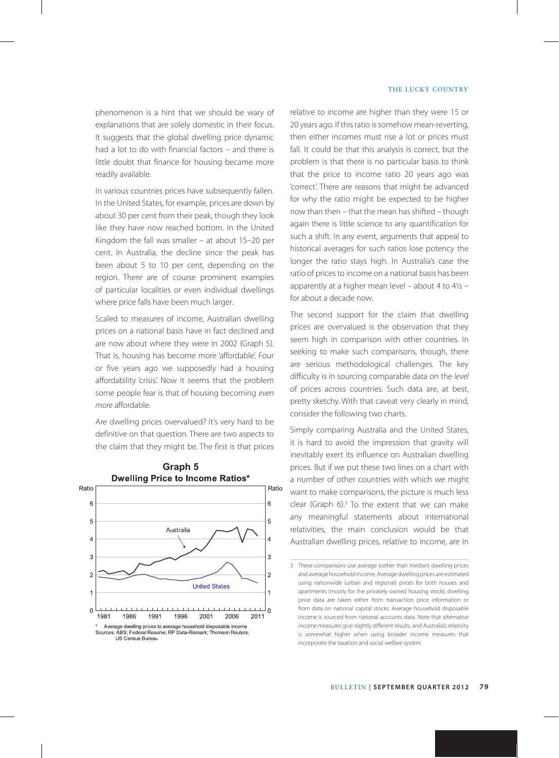phenomenon is a hint that we should be wary of explanations that are solely domestic in their focus. It suggests that the global dwelling price dynamic had a lot to do with financial factors – and there is little doubt that finance for housing became more readily available.

In various countries prices have subsequently fallen. In the United States, for example, prices are down by about 30 per cent from their peak, though they look like they have now reached bottom. In the United Kingdom the fall was smaller – at about 15–20 per cent. In Australia, the decline since the peak has been about 5 to 10 per cent, depending on the region. There are of course prominent examples of particular localities or even individual dwellings where price falls have been much larger.

Scaled to measures of income, Australian dwelling prices on a national basis have in fact declined and are now about where they were in 2002 (Graph 5). That is, housing has become more 'affordable'. Four or five years ago we supposedly had a housing affordability 'crisis'. Now it seems that the problem some people fear is that of housing becoming *even more* affordable.

Are dwelling prices overvalued? It's very hard to be definitive on that question. There are two aspects to the claim that they might be. The first is that prices



**Graph 5**

relative to income are higher than they were 15 or 20 years ago. If this ratio is somehow mean-reverting, then either incomes must rise a lot or prices must fall. It could be that this analysis is correct, but the problem is that there is no particular basis to think that the price to income ratio 20 years ago was 'correct'. There are reasons that might be advanced for why the ratio might be expected to be higher now than then – that the mean has shifted – though again there is little science to any quantification for such a shift. In any event, arguments that appeal to historical averages for such ratios lose potency the longer the ratio stays high. In Australia's case the ratio of prices to income on a national basis has been apparently at a higher mean level – about 4 to 4½ – for about a decade now.

The second support for the claim that dwelling prices are overvalued is the observation that they seem high in comparison with other countries. In seeking to make such comparisons, though, there are serious methodological challenges. The key difficulty is in sourcing comparable data on the *level* of prices across countries. Such data are, at best, pretty sketchy. With that caveat very clearly in mind, consider the following two charts.

Simply comparing Australia and the United States, it is hard to avoid the impression that gravity will inevitably exert its influence on Australian dwelling prices. But if we put these two lines on a chart with a number of other countries with which we might want to make comparisons, the picture is much less clear (Graph 6).<sup>3</sup> To the extent that we can make any meaningful statements about international relativities, the main conclusion would be that Australian dwelling prices, relative to income, are in

<sup>3</sup> These comparisons use average (rather than median) dwelling prices and average household income. Average dwelling prices are estimated using nationwide (urban and regional) prices for both houses and apartments (mostly for the privately owned housing stock); dwelling price data are taken either from transaction price information or from data on national capital stocks. Average household disposable income is sourced from national accounts data. Note that alternative income measures give slightly different results, and Australia's relativity is somewhat higher when using broader income measures that incorporate the taxation and social welfare system.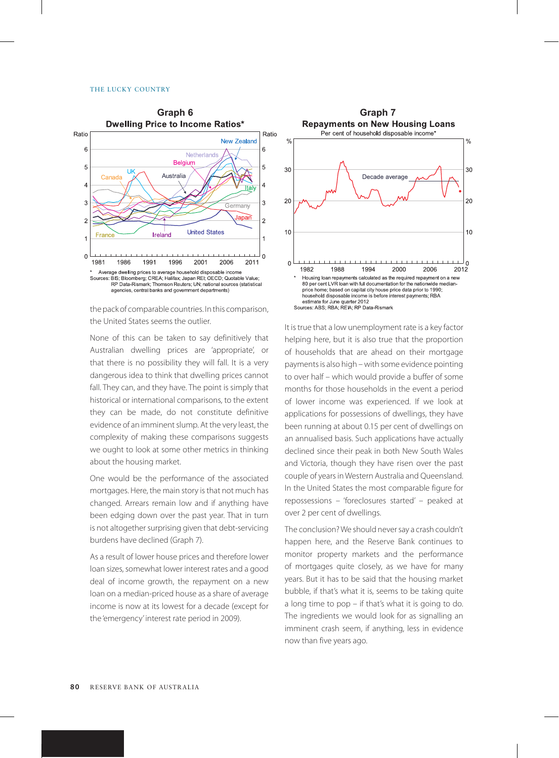

the pack of comparable countries. In this comparison, the United States seems the outlier.

None of this can be taken to say definitively that Australian dwelling prices are 'appropriate', or that there is no possibility they will fall. It is a very dangerous idea to think that dwelling prices cannot fall. They can, and they have. The point is simply that historical or international comparisons, to the extent they can be made, do not constitute definitive evidence of an imminent slump. At the very least, the complexity of making these comparisons suggests we ought to look at some other metrics in thinking about the housing market.

One would be the performance of the associated mortgages. Here, the main story is that not much has changed. Arrears remain low and if anything have been edging down over the past year. That in turn is not altogether surprising given that debt-servicing burdens have declined (Graph 7).

As a result of lower house prices and therefore lower loan sizes, somewhat lower interest rates and a good deal of income growth, the repayment on a new loan on a median-priced house as a share of average income is now at its lowest for a decade (except for the 'emergency' interest rate period in 2009).



It is true that a low unemployment rate is a key factor helping here, but it is also true that the proportion of households that are ahead on their mortgage payments is also high – with some evidence pointing to over half – which would provide a buffer of some months for those households in the event a period of lower income was experienced. If we look at applications for possessions of dwellings, they have been running at about 0.15 per cent of dwellings on an annualised basis. Such applications have actually declined since their peak in both New South Wales and Victoria, though they have risen over the past couple of years in Western Australia and Queensland. In the United States the most comparable figure for repossessions – 'foreclosures started' – peaked at over 2 per cent of dwellings.

The conclusion? We should never say a crash couldn't happen here, and the Reserve Bank continues to monitor property markets and the performance of mortgages quite closely, as we have for many years. But it has to be said that the housing market bubble, if that's what it is, seems to be taking quite a long time to pop – if that's what it is going to do. The ingredients we would look for as signalling an imminent crash seem, if anything, less in evidence now than five years ago.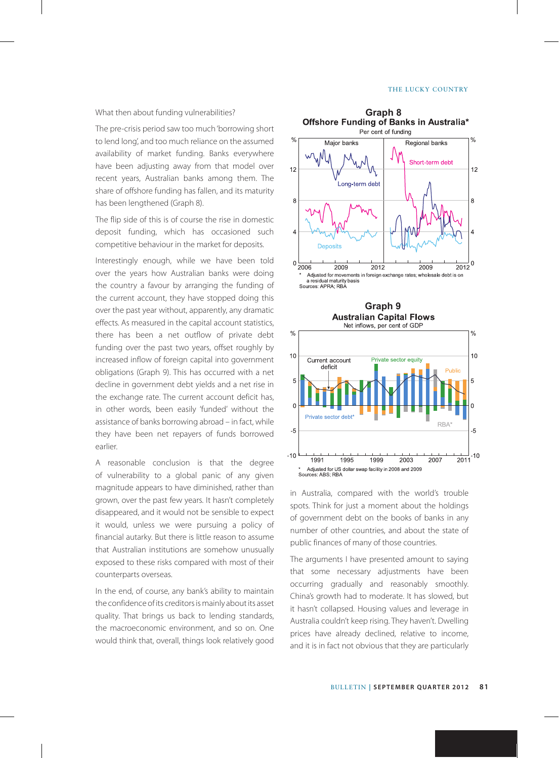What then about funding vulnerabilities?

The pre-crisis period saw too much 'borrowing short to lend long', and too much reliance on the assumed availability of market funding. Banks everywhere have been adjusting away from that model over recent years, Australian banks among them. The share of offshore funding has fallen, and its maturity has been lengthened (Graph 8).

The flip side of this is of course the rise in domestic deposit funding, which has occasioned such competitive behaviour in the market for deposits.

Interestingly enough, while we have been told over the years how Australian banks were doing the country a favour by arranging the funding of the current account, they have stopped doing this over the past year without, apparently, any dramatic effects. As measured in the capital account statistics, there has been a net outflow of private debt funding over the past two years, offset roughly by increased inflow of foreign capital into government obligations (Graph 9). This has occurred with a net decline in government debt yields and a net rise in the exchange rate. The current account deficit has, in other words, been easily 'funded' without the assistance of banks borrowing abroad – in fact, while they have been net repayers of funds borrowed earlier.

A reasonable conclusion is that the degree of vulnerability to a global panic of any given magnitude appears to have diminished, rather than grown, over the past few years. It hasn't completely disappeared, and it would not be sensible to expect it would, unless we were pursuing a policy of financial autarky. But there is little reason to assume that Australian institutions are somehow unusually exposed to these risks compared with most of their counterparts overseas.

In the end, of course, any bank's ability to maintain the confidence of its creditors is mainly about its asset quality. That brings us back to lending standards, the macroeconomic environment, and so on. One would think that, overall, things look relatively good





in Australia, compared with the world's trouble spots. Think for just a moment about the holdings of government debt on the books of banks in any number of other countries, and about the state of public finances of many of those countries.

The arguments I have presented amount to saying that some necessary adjustments have been occurring gradually and reasonably smoothly. China's growth had to moderate. It has slowed, but it hasn't collapsed. Housing values and leverage in Australia couldn't keep rising. They haven't. Dwelling prices have already declined, relative to income, and it is in fact not obvious that they are particularly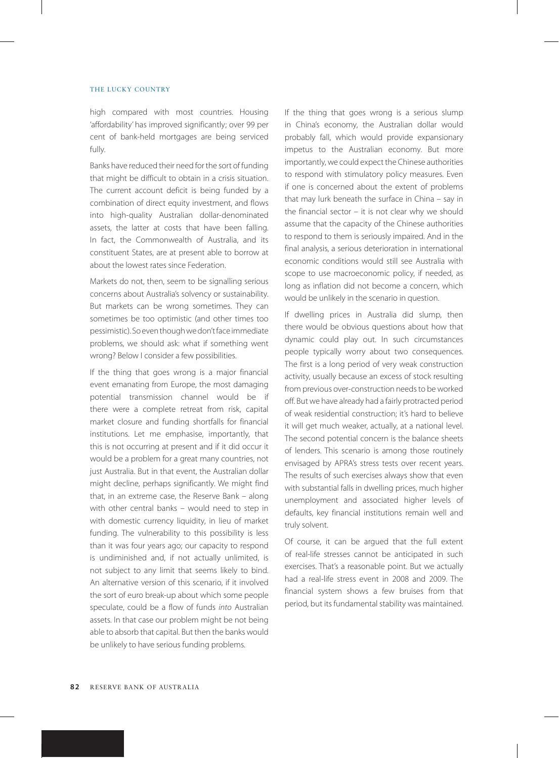high compared with most countries. Housing 'affordability' has improved significantly; over 99 per cent of bank-held mortgages are being serviced fully.

Banks have reduced their need for the sort of funding that might be difficult to obtain in a crisis situation. The current account deficit is being funded by a combination of direct equity investment, and flows into high-quality Australian dollar-denominated assets, the latter at costs that have been falling. In fact, the Commonwealth of Australia, and its constituent States, are at present able to borrow at about the lowest rates since Federation.

Markets do not, then, seem to be signalling serious concerns about Australia's solvency or sustainability. But markets can be wrong sometimes. They can sometimes be too optimistic (and other times too pessimistic). So even though we don't face immediate problems, we should ask: what if something went wrong? Below I consider a few possibilities.

If the thing that goes wrong is a major financial event emanating from Europe, the most damaging potential transmission channel would be if there were a complete retreat from risk, capital market closure and funding shortfalls for financial institutions. Let me emphasise, importantly, that this is not occurring at present and if it did occur it would be a problem for a great many countries, not just Australia. But in that event, the Australian dollar might decline, perhaps significantly. We might find that, in an extreme case, the Reserve Bank – along with other central banks - would need to step in with domestic currency liquidity, in lieu of market funding. The vulnerability to this possibility is less than it was four years ago; our capacity to respond is undiminished and, if not actually unlimited, is not subject to any limit that seems likely to bind. An alternative version of this scenario, if it involved the sort of euro break-up about which some people speculate, could be a flow of funds *into* Australian assets. In that case our problem might be not being able to absorb that capital. But then the banks would be unlikely to have serious funding problems.

If the thing that goes wrong is a serious slump in China's economy, the Australian dollar would probably fall, which would provide expansionary impetus to the Australian economy. But more importantly, we could expect the Chinese authorities to respond with stimulatory policy measures. Even if one is concerned about the extent of problems that may lurk beneath the surface in China – say in the financial sector – it is not clear why we should assume that the capacity of the Chinese authorities to respond to them is seriously impaired. And in the final analysis, a serious deterioration in international economic conditions would still see Australia with scope to use macroeconomic policy, if needed, as long as inflation did not become a concern, which would be unlikely in the scenario in question.

If dwelling prices in Australia did slump, then there would be obvious questions about how that dynamic could play out. In such circumstances people typically worry about two consequences. The first is a long period of very weak construction activity, usually because an excess of stock resulting from previous over-construction needs to be worked off. But we have already had a fairly protracted period of weak residential construction; it's hard to believe it will get much weaker, actually, at a national level. The second potential concern is the balance sheets of lenders. This scenario is among those routinely envisaged by APRA's stress tests over recent years. The results of such exercises always show that even with substantial falls in dwelling prices, much higher unemployment and associated higher levels of defaults, key financial institutions remain well and truly solvent.

Of course, it can be argued that the full extent of real-life stresses cannot be anticipated in such exercises. That's a reasonable point. But we actually had a real-life stress event in 2008 and 2009. The financial system shows a few bruises from that period, but its fundamental stability was maintained.